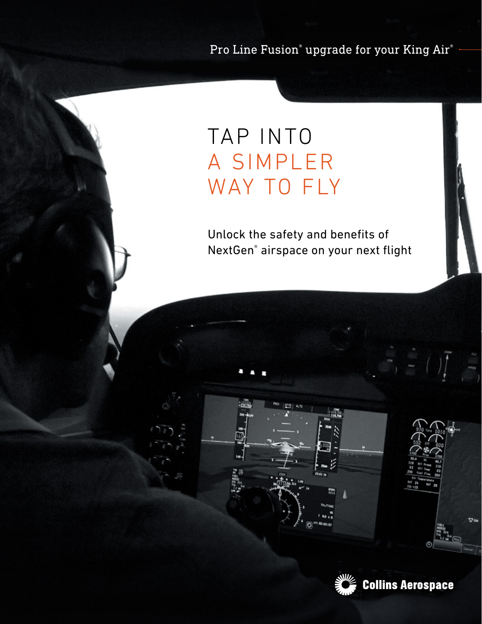Pro Line Fusion® upgrade for your King Air®

# TAP INTO A SIMPLER WAY TO FLY

Unlock the safety and benefits of NextGen® airspace on your next flight





**Collins Aerospace**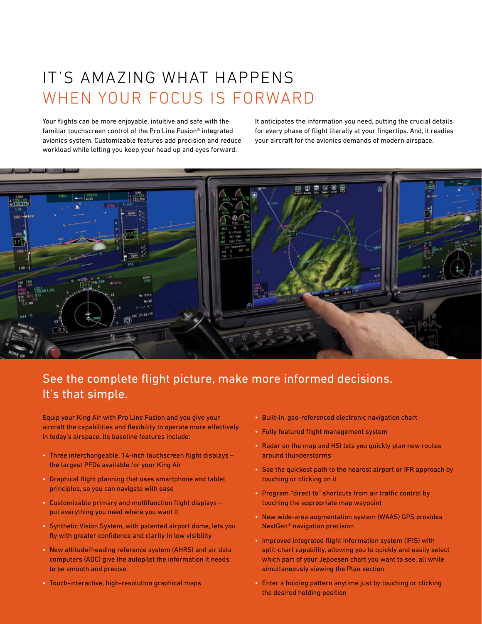## IT'S AMAZING WHAT HAPPENS WHEN YOUR FOCUS IS FORWARD

Your flights can be more enjoyable, intuitive and safe with the familiar touchscreen control of the Pro Line Fusion® integrated avionics system. Customizable features add precision and reduce workload while letting you keep your head up and eyes forward.

It anticipates the information you need, putting the crucial details for every phase of flight literally at your fingertips. And, it readies your aircraft for the avionics demands of modern airspace.



### See the complete flight picture, make more informed decisions. It's that simple.

Equip your King Air with Pro Line Fusion and you give your aircraft the capabilities and flexibility to operate more effectively in today's airspace. Its baseline features include:

- Three interchangeable, 14-inch touchscreen flight displays the largest PFDs available for your King Air
- Graphical flight planning that uses smartphone and tablet principles, so you can navigate with ease
- Customizable primary and multifunction flight displays put everything you need where you want it
- Synthetic Vision System, with patented airport dome, lets you fly with greater confidence and clarity in low visibility
- New attitude/heading reference system (AHRS) and air data computers (ADC) give the autopilot the information it needs to be smooth and precise
- Touch-interactive, high-resolution graphical maps
- Built-in, geo-referenced electronic navigation chart
- Fully featured flight management system
- Radar on the map and HSI lets you quickly plan new routes around thunderstorms
- See the quickest path to the nearest airport or IFR approach by touching or clicking on it
- Program "direct to" shortcuts from air traffic control by touching the appropriate map waypoint
- New wide-area augmentation system (WAAS) GPS provides NextGen® navigation precision
- Improved integrated flight information system (IFIS) with split-chart capability, allowing you to quickly and easily select which part of your Jeppesen chart you want to see, all while simultaneously viewing the Plan section
- Enter a holding pattern anytime just by touching or clicking the desired holding position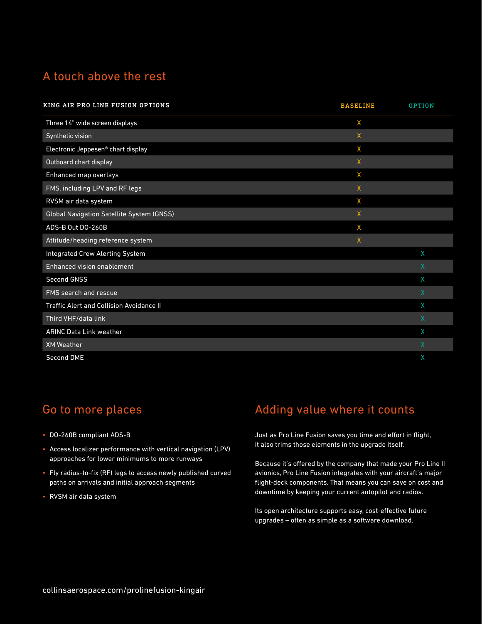### A touch above the rest

| KING AIR PRO LINE FUSION OPTIONS                | <b>BASELINE</b> | <b>OPTION</b> |
|-------------------------------------------------|-----------------|---------------|
| Three 14" wide screen displays                  | X               |               |
| Synthetic vision                                | $\mathsf{X}$    |               |
| Electronic Jeppesen® chart display              | X               |               |
| Outboard chart display                          | $\mathsf{X}$    |               |
| Enhanced map overlays                           | X               |               |
| FMS, including LPV and RF legs                  | $\mathsf{X}$    |               |
| RVSM air data system                            | X               |               |
| Global Navigation Satellite System (GNSS)       | $\mathsf{X}$    |               |
| ADS-B Out DO-260B                               | X               |               |
| Attitude/heading reference system               | $\mathsf{X}$    |               |
| Integrated Crew Alerting System                 |                 | X             |
| Enhanced vision enablement                      |                 | $\mathsf{X}$  |
| Second GNSS                                     |                 | X             |
| <b>FMS</b> search and rescue                    |                 | $\mathsf{X}$  |
| <b>Traffic Alert and Collision Avoidance II</b> |                 | X             |
| Third VHF/data link                             |                 | $\mathsf{X}$  |
| <b>ARINC Data Link weather</b>                  |                 | X             |
| <b>XM Weather</b>                               |                 | X             |
| <b>Second DME</b>                               |                 | Χ             |

#### Go to more places

- DO-260B compliant ADS-B
- Access localizer performance with vertical navigation (LPV) approaches for lower minimums to more runways
- Fly radius-to-fix (RF) legs to access newly published curved paths on arrivals and initial approach segments
- RVSM air data system

### Adding value where it counts

Just as Pro Line Fusion saves you time and effort in flight, it also trims those elements in the upgrade itself.

Because it's offered by the company that made your Pro Line II avionics, Pro Line Fusion integrates with your aircraft's major flight-deck components. That means you can save on cost and downtime by keeping your current autopilot and radios.

Its open architecture supports easy, cost-effective future upgrades – often as simple as a software download.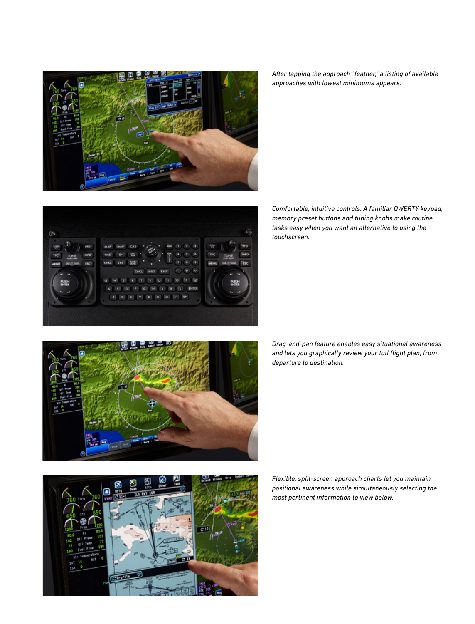

(f)

*After tapping the approach "feather," a listing of available approaches with lowest minimums appears.*

*Comfortable, intuitive controls. A familiar QWERTY keypad, memory preset buttons and tuning knobs make routine tasks easy when you want an alternative to using the touchscreen.*



*Drag-and-pan feature enables easy situational awareness and lets you graphically review your full flight plan, from departure to destination.*



*Flexible, split-screen approach charts let you maintain positional awareness while simultaneously selecting the most pertinent information to view below.*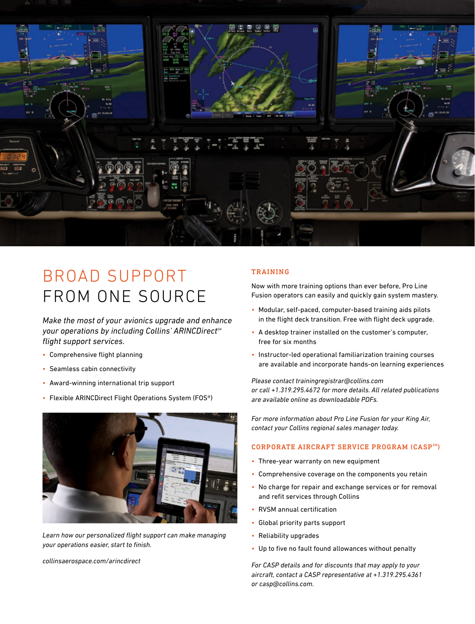

## BROAD SUPPORT FROM ONE SOURCE

*Make the most of your avionics upgrade and enhance your operations by including Collins' ARINCDirect<sup>®</sup> flight support services.*

- Comprehensive flight planning
- Seamless cabin connectivity
- Award-winning international trip support
- Flexible ARINCDirect Flight Operations System (FOS®)



*Learn how our personalized flight support can make managing your operations easier, start to finish.*

*collinsaerospace.com/arincdirect*

#### TRAINING

Now with more training options than ever before, Pro Line Fusion operators can easily and quickly gain system mastery.

- Modular, self-paced, computer-based training aids pilots in the flight deck transition. Free with flight deck upgrade.
- A desktop trainer installed on the customer's computer, free for six months
- Instructor-led operational familiarization training courses are available and incorporate hands-on learning experiences

*Please contact trainingregistrar@collins.com or call +1.319.295.4672 for more details. All related publications are available online as downloadable PDFs.*

*For more information about Pro Line Fusion for your King Air, contact your Collins regional sales manager today.*

#### CORPORATE AIRCRAFT SERVICE PROGRAM (CASP<sup>SM</sup>)

- Three-year warranty on new equipment
- Comprehensive coverage on the components you retain
- No charge for repair and exchange services or for removal and refit services through Collins
- RVSM annual certification
- Global priority parts support
- Reliability upgrades
- Up to five no fault found allowances without penalty

*For CASP details and for discounts that may apply to your aircraft, contact a CASP representative at +1.319.295.4361 or casp@collins.com.*